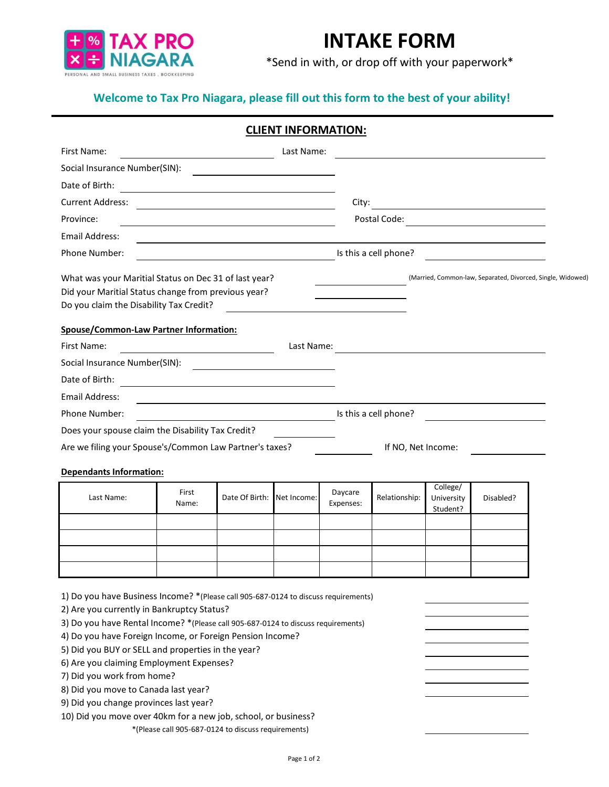

## **INTAKE FORM**

\*Send in with, or drop off with your paperwork\*

## **Welcome to Tax Pro Niagara, please fill out this form to the best of your ability!**

|                                                                                                                                                                                                                                                                                                                                                                                                                                                                                                                                                                         |                                                     |                                                                                                                      | <b>CLIENT INFORMATION:</b> |                                                             |                    |                                    |                                                         |  |
|-------------------------------------------------------------------------------------------------------------------------------------------------------------------------------------------------------------------------------------------------------------------------------------------------------------------------------------------------------------------------------------------------------------------------------------------------------------------------------------------------------------------------------------------------------------------------|-----------------------------------------------------|----------------------------------------------------------------------------------------------------------------------|----------------------------|-------------------------------------------------------------|--------------------|------------------------------------|---------------------------------------------------------|--|
| First Name:                                                                                                                                                                                                                                                                                                                                                                                                                                                                                                                                                             |                                                     |                                                                                                                      | Last Name:                 |                                                             |                    |                                    |                                                         |  |
| Social Insurance Number(SIN):                                                                                                                                                                                                                                                                                                                                                                                                                                                                                                                                           |                                                     | <u> 1980 - Andrea Andrew Maria (h. 1980).</u>                                                                        |                            |                                                             |                    |                                    |                                                         |  |
| Date of Birth:                                                                                                                                                                                                                                                                                                                                                                                                                                                                                                                                                          |                                                     |                                                                                                                      |                            |                                                             |                    |                                    |                                                         |  |
| <b>Current Address:</b>                                                                                                                                                                                                                                                                                                                                                                                                                                                                                                                                                 |                                                     |                                                                                                                      |                            | City:                                                       |                    |                                    | <u> 1980 - Andrea State Barbara, política establece</u> |  |
| Province:                                                                                                                                                                                                                                                                                                                                                                                                                                                                                                                                                               |                                                     |                                                                                                                      |                            |                                                             |                    |                                    | Postal Code:                                            |  |
| Email Address:                                                                                                                                                                                                                                                                                                                                                                                                                                                                                                                                                          |                                                     |                                                                                                                      |                            |                                                             |                    |                                    |                                                         |  |
| Phone Number:                                                                                                                                                                                                                                                                                                                                                                                                                                                                                                                                                           |                                                     | <u>In this a cell phone?</u>                                                                                         |                            |                                                             |                    |                                    |                                                         |  |
| What was your Maritial Status on Dec 31 of last year?<br>Did your Maritial Status change from previous year?<br>Do you claim the Disability Tax Credit?                                                                                                                                                                                                                                                                                                                                                                                                                 |                                                     |                                                                                                                      |                            | (Married, Common-law, Separated, Divorced, Single, Widowed) |                    |                                    |                                                         |  |
| Spouse/Common-Law Partner Information:                                                                                                                                                                                                                                                                                                                                                                                                                                                                                                                                  |                                                     |                                                                                                                      |                            |                                                             |                    |                                    |                                                         |  |
| First Name:<br>Last Name:<br>$\overline{\phantom{a}}$ $\overline{\phantom{a}}$ $\overline{\phantom{a}}$ $\overline{\phantom{a}}$ $\overline{\phantom{a}}$ $\overline{\phantom{a}}$ $\overline{\phantom{a}}$ $\overline{\phantom{a}}$ $\overline{\phantom{a}}$ $\overline{\phantom{a}}$ $\overline{\phantom{a}}$ $\overline{\phantom{a}}$ $\overline{\phantom{a}}$ $\overline{\phantom{a}}$ $\overline{\phantom{a}}$ $\overline{\phantom{a}}$ $\overline{\phantom{a}}$ $\overline{\phantom{a}}$ $\overline{\$                                                            |                                                     |                                                                                                                      |                            |                                                             |                    |                                    |                                                         |  |
| Social Insurance Number(SIN):                                                                                                                                                                                                                                                                                                                                                                                                                                                                                                                                           |                                                     |                                                                                                                      |                            |                                                             |                    |                                    |                                                         |  |
| Date of Birth:                                                                                                                                                                                                                                                                                                                                                                                                                                                                                                                                                          | <u> 1980 - Andrea Barbara, poeta esperanto-</u>     |                                                                                                                      |                            |                                                             |                    |                                    |                                                         |  |
| Email Address:                                                                                                                                                                                                                                                                                                                                                                                                                                                                                                                                                          |                                                     | <u> 1980 - Johann Barn, amerikan besteman besteman besteman besteman besteman besteman besteman besteman bestema</u> |                            |                                                             |                    |                                    |                                                         |  |
| Is this a cell phone?<br><b>Phone Number:</b>                                                                                                                                                                                                                                                                                                                                                                                                                                                                                                                           |                                                     |                                                                                                                      |                            |                                                             |                    |                                    |                                                         |  |
| Does your spouse claim the Disability Tax Credit?                                                                                                                                                                                                                                                                                                                                                                                                                                                                                                                       |                                                     |                                                                                                                      |                            |                                                             |                    |                                    |                                                         |  |
| Are we filing your Spouse's/Common Law Partner's taxes?                                                                                                                                                                                                                                                                                                                                                                                                                                                                                                                 |                                                     |                                                                                                                      |                            |                                                             | If NO, Net Income: |                                    |                                                         |  |
| <b>Dependants Information:</b>                                                                                                                                                                                                                                                                                                                                                                                                                                                                                                                                          |                                                     |                                                                                                                      |                            |                                                             |                    |                                    |                                                         |  |
| Last Name:                                                                                                                                                                                                                                                                                                                                                                                                                                                                                                                                                              | First<br>Name:                                      | Date Of Birth:                                                                                                       | Net Income:                | Daycare<br>Expenses:                                        | Relationship:      | College/<br>University<br>Student? | Disabled?                                               |  |
|                                                                                                                                                                                                                                                                                                                                                                                                                                                                                                                                                                         |                                                     |                                                                                                                      |                            |                                                             |                    |                                    |                                                         |  |
|                                                                                                                                                                                                                                                                                                                                                                                                                                                                                                                                                                         |                                                     |                                                                                                                      |                            |                                                             |                    |                                    |                                                         |  |
|                                                                                                                                                                                                                                                                                                                                                                                                                                                                                                                                                                         |                                                     |                                                                                                                      |                            |                                                             |                    |                                    |                                                         |  |
| 1) Do you have Business Income? *(Please call 905-687-0124 to discuss requirements)<br>2) Are you currently in Bankruptcy Status?<br>3) Do you have Rental Income? *(Please call 905-687-0124 to discuss requirements)<br>4) Do you have Foreign Income, or Foreign Pension Income?<br>5) Did you BUY or SELL and properties in the year?<br>6) Are you claiming Employment Expenses?<br>7) Did you work from home?<br>8) Did you move to Canada last year?<br>9) Did you change provinces last year?<br>10) Did you move over 40km for a new job, school, or business? | *(Please call 905-687-0124 to discuss requirements) |                                                                                                                      |                            |                                                             |                    |                                    |                                                         |  |